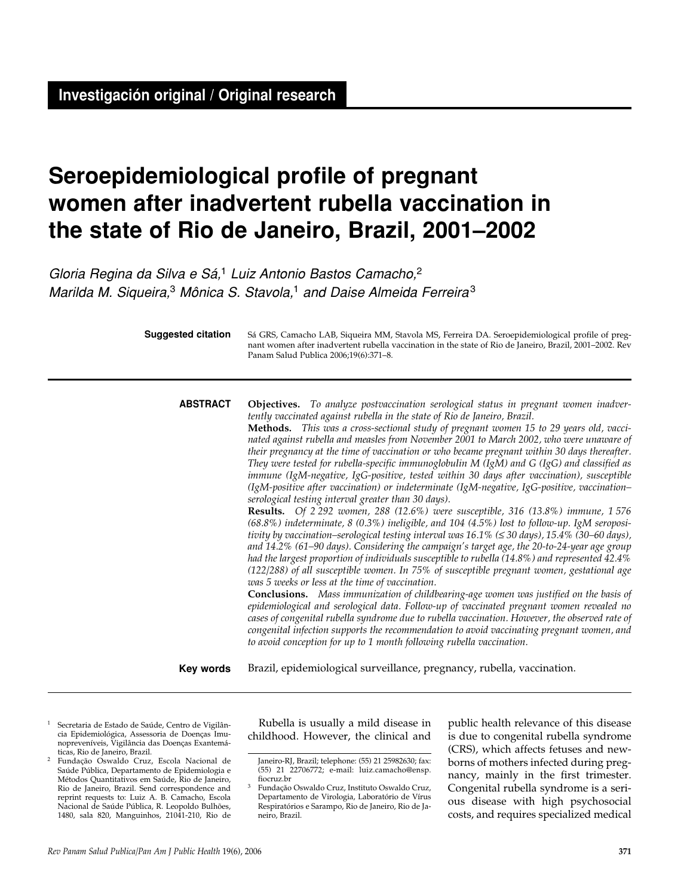# **Seroepidemiological profile of pregnant women after inadvertent rubella vaccination in the state of Rio de Janeiro, Brazil, 2001–2002**

Gloria Regina da Silva e Sá,<sup>1</sup> Luiz Antonio Bastos Camacho,<sup>2</sup> Marilda M. Siqueira,<sup>3</sup> Mônica S. Stavola,<sup>1</sup> and Daise Almeida Ferreira<sup>3</sup>

| <b>Suggested citation</b> | Sá GRS, Camacho LAB, Siqueira MM, Stavola MS, Ferreira DA. Seroepidemiological profile of preg-<br>nant women after inadvertent rubella vaccination in the state of Rio de Janeiro, Brazil, 2001-2002. Rev<br>Panam Salud Publica 2006;19(6):371-8.                                                                                                                                                                                                                                                                                                                                                                                                                                                                                                                                                                                                                                                                                                                                                                                                                                                                                                                                                                                                                                                                                                                                                                                                                                                                                                                                                                                                                                                                                                                                                                                                                                                                            |  |  |  |  |
|---------------------------|--------------------------------------------------------------------------------------------------------------------------------------------------------------------------------------------------------------------------------------------------------------------------------------------------------------------------------------------------------------------------------------------------------------------------------------------------------------------------------------------------------------------------------------------------------------------------------------------------------------------------------------------------------------------------------------------------------------------------------------------------------------------------------------------------------------------------------------------------------------------------------------------------------------------------------------------------------------------------------------------------------------------------------------------------------------------------------------------------------------------------------------------------------------------------------------------------------------------------------------------------------------------------------------------------------------------------------------------------------------------------------------------------------------------------------------------------------------------------------------------------------------------------------------------------------------------------------------------------------------------------------------------------------------------------------------------------------------------------------------------------------------------------------------------------------------------------------------------------------------------------------------------------------------------------------|--|--|--|--|
| <b>ABSTRACT</b>           | Objectives. To analyze postvaccination serological status in pregnant women inadver-<br>tently vaccinated against rubella in the state of Rio de Janeiro, Brazil.<br>Methods. This was a cross-sectional study of pregnant women 15 to 29 years old, vacci-<br>nated against rubella and measles from November 2001 to March 2002, who were unaware of<br>their pregnancy at the time of vaccination or who became pregnant within 30 days thereafter.<br>They were tested for rubella-specific immunoglobulin M (IgM) and G (IgG) and classified as<br>immune (IgM-negative, IgG-positive, tested within 30 days after vaccination), susceptible<br>(IgM-positive after vaccination) or indeterminate (IgM-negative, IgG-positive, vaccination-<br>serological testing interval greater than 30 days).<br>Results. Of 2 292 women, 288 (12.6%) were susceptible, 316 (13.8%) immune, 1 576<br>$(68.8\%)$ indeterminate, 8 (0.3%) ineligible, and 104 (4.5%) lost to follow-up. IgM seroposi-<br>tivity by vaccination-serological testing interval was $16.1\%$ ( $\leq 30$ days), $15.4\%$ (30-60 days),<br>and 14.2% (61-90 days). Considering the campaign's target age, the 20-to-24-year age group<br>had the largest proportion of individuals susceptible to rubella (14.8%) and represented 42.4%<br>(122/288) of all susceptible women. In 75% of susceptible pregnant women, gestational age<br>was 5 weeks or less at the time of vaccination.<br><b>Conclusions.</b> Mass immunization of childbearing-age women was justified on the basis of<br>epidemiological and serological data. Follow-up of vaccinated pregnant women revealed no<br>cases of congenital rubella syndrome due to rubella vaccination. However, the observed rate of<br>congenital infection supports the recommendation to avoid vaccinating pregnant women, and<br>to avoid conception for up to 1 month following rubella vaccination. |  |  |  |  |
| Key words                 | Brazil, epidemiological surveillance, pregnancy, rubella, vaccination.                                                                                                                                                                                                                                                                                                                                                                                                                                                                                                                                                                                                                                                                                                                                                                                                                                                                                                                                                                                                                                                                                                                                                                                                                                                                                                                                                                                                                                                                                                                                                                                                                                                                                                                                                                                                                                                         |  |  |  |  |

- <sup>1</sup> Secretaria de Estado de Saúde, Centro de Vigilância Epidemiológica, Assessoria de Doenças Imunopreveníveis, Vigilância das Doenças Exantemá-
- <sup>2</sup> Fundação Oswaldo Cruz, Escola Nacional de Saúde Pública, Departamento de Epidemiologia e Métodos Quantitativos em Saúde, Rio de Janeiro, Rio de Janeiro, Brazil. Send correspondence and reprint requests to: Luiz A. B. Camacho, Escola Nacional de Saúde Pública, R. Leopoldo Bulhões, 1480, sala 820, Manguinhos, 21041-210, Rio de

Rubella is usually a mild disease in childhood. However, the clinical and

public health relevance of this disease is due to congenital rubella syndrome (CRS), which affects fetuses and newborns of mothers infected during pregnancy, mainly in the first trimester. Congenital rubella syndrome is a serious disease with high psychosocial costs, and requires specialized medical

Janeiro-RJ, Brazil; telephone: (55) 21 25982630; fax: (55) 21 22706772; e-mail: luiz.camacho@ensp.

Fundação Oswaldo Cruz, Instituto Oswaldo Cruz, Departamento de Virologia, Laboratório de Vírus Respiratórios e Sarampo, Rio de Janeiro, Rio de Janeiro, Brazil.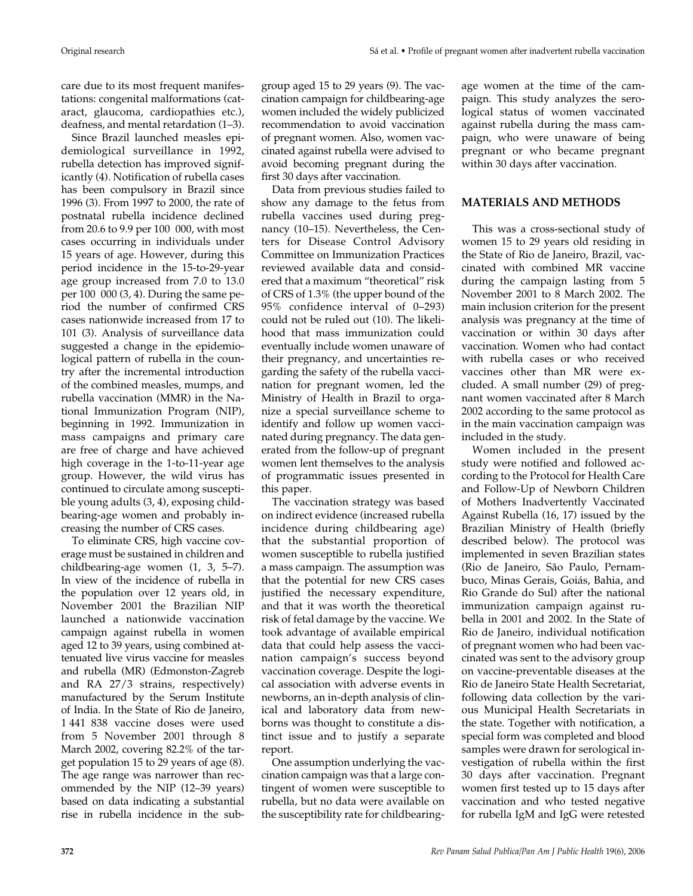care due to its most frequent manifestations: congenital malformations (cataract, glaucoma, cardiopathies etc.), deafness, and mental retardation (1–3).

Since Brazil launched measles epidemiological surveillance in 1992, rubella detection has improved significantly (4). Notification of rubella cases has been compulsory in Brazil since 1996 (3). From 1997 to 2000, the rate of postnatal rubella incidence declined from 20.6 to 9.9 per 100 000, with most cases occurring in individuals under 15 years of age. However, during this period incidence in the 15-to-29-year age group increased from 7.0 to 13.0 per 100 000 (3, 4). During the same period the number of confirmed CRS cases nationwide increased from 17 to 101 (3). Analysis of surveillance data suggested a change in the epidemiological pattern of rubella in the country after the incremental introduction of the combined measles, mumps, and rubella vaccination (MMR) in the National Immunization Program (NIP), beginning in 1992. Immunization in mass campaigns and primary care are free of charge and have achieved high coverage in the 1-to-11-year age group. However, the wild virus has continued to circulate among susceptible young adults (3, 4), exposing childbearing-age women and probably increasing the number of CRS cases.

To eliminate CRS, high vaccine coverage must be sustained in children and childbearing-age women (1, 3, 5–7). In view of the incidence of rubella in the population over 12 years old, in November 2001 the Brazilian NIP launched a nationwide vaccination campaign against rubella in women aged 12 to 39 years, using combined attenuated live virus vaccine for measles and rubella (MR) (Edmonston-Zagreb and RA 27/3 strains, respectively) manufactured by the Serum Institute of India. In the State of Rio de Janeiro, 1 441 838 vaccine doses were used from 5 November 2001 through 8 March 2002, covering 82.2% of the target population 15 to 29 years of age (8). The age range was narrower than recommended by the NIP (12–39 years) based on data indicating a substantial rise in rubella incidence in the subgroup aged 15 to 29 years (9). The vaccination campaign for childbearing-age women included the widely publicized recommendation to avoid vaccination of pregnant women. Also, women vaccinated against rubella were advised to avoid becoming pregnant during the first 30 days after vaccination.

Data from previous studies failed to show any damage to the fetus from rubella vaccines used during pregnancy (10–15). Nevertheless, the Centers for Disease Control Advisory Committee on Immunization Practices reviewed available data and considered that a maximum "theoretical" risk of CRS of 1.3% (the upper bound of the 95% confidence interval of 0–293) could not be ruled out (10). The likelihood that mass immunization could eventually include women unaware of their pregnancy, and uncertainties regarding the safety of the rubella vaccination for pregnant women, led the Ministry of Health in Brazil to organize a special surveillance scheme to identify and follow up women vaccinated during pregnancy. The data generated from the follow-up of pregnant women lent themselves to the analysis of programmatic issues presented in this paper.

The vaccination strategy was based on indirect evidence (increased rubella incidence during childbearing age) that the substantial proportion of women susceptible to rubella justified a mass campaign. The assumption was that the potential for new CRS cases justified the necessary expenditure, and that it was worth the theoretical risk of fetal damage by the vaccine. We took advantage of available empirical data that could help assess the vaccination campaign's success beyond vaccination coverage. Despite the logical association with adverse events in newborns, an in-depth analysis of clinical and laboratory data from newborns was thought to constitute a distinct issue and to justify a separate report.

One assumption underlying the vaccination campaign was that a large contingent of women were susceptible to rubella, but no data were available on the susceptibility rate for childbearingage women at the time of the campaign. This study analyzes the serological status of women vaccinated against rubella during the mass campaign, who were unaware of being pregnant or who became pregnant within 30 days after vaccination.

#### **MATERIALS AND METHODS**

This was a cross-sectional study of women 15 to 29 years old residing in the State of Rio de Janeiro, Brazil, vaccinated with combined MR vaccine during the campaign lasting from 5 November 2001 to 8 March 2002. The main inclusion criterion for the present analysis was pregnancy at the time of vaccination or within 30 days after vaccination. Women who had contact with rubella cases or who received vaccines other than MR were excluded. A small number (29) of pregnant women vaccinated after 8 March 2002 according to the same protocol as in the main vaccination campaign was included in the study.

Women included in the present study were notified and followed according to the Protocol for Health Care and Follow-Up of Newborn Children of Mothers Inadvertently Vaccinated Against Rubella (16, 17) issued by the Brazilian Ministry of Health (briefly described below). The protocol was implemented in seven Brazilian states (Rio de Janeiro, São Paulo, Pernambuco, Minas Gerais, Goiás, Bahia, and Rio Grande do Sul) after the national immunization campaign against rubella in 2001 and 2002. In the State of Rio de Janeiro, individual notification of pregnant women who had been vaccinated was sent to the advisory group on vaccine-preventable diseases at the Rio de Janeiro State Health Secretariat, following data collection by the various Municipal Health Secretariats in the state. Together with notification, a special form was completed and blood samples were drawn for serological investigation of rubella within the first 30 days after vaccination. Pregnant women first tested up to 15 days after vaccination and who tested negative for rubella IgM and IgG were retested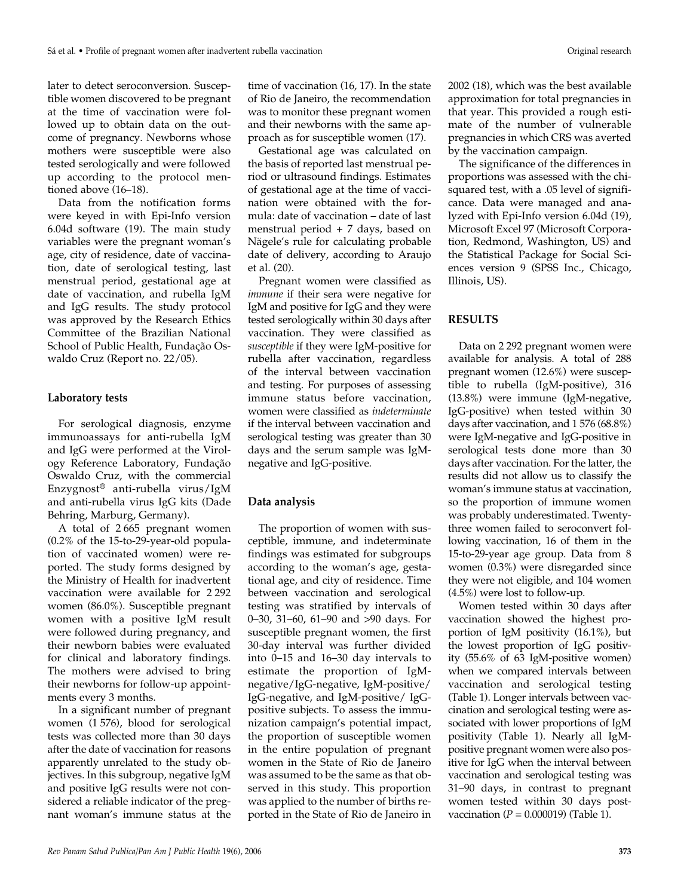later to detect seroconversion. Susceptible women discovered to be pregnant at the time of vaccination were followed up to obtain data on the outcome of pregnancy. Newborns whose mothers were susceptible were also tested serologically and were followed up according to the protocol mentioned above (16–18).

Data from the notification forms were keyed in with Epi-Info version 6.04d software (19). The main study variables were the pregnant woman's age, city of residence, date of vaccination, date of serological testing, last menstrual period, gestational age at date of vaccination, and rubella IgM and IgG results. The study protocol was approved by the Research Ethics Committee of the Brazilian National School of Public Health, Fundação Oswaldo Cruz (Report no. 22/05).

## **Laboratory tests**

For serological diagnosis, enzyme immunoassays for anti-rubella IgM and IgG were performed at the Virology Reference Laboratory, Fundação Oswaldo Cruz, with the commercial Enzygnost® anti-rubella virus/IgM and anti-rubella virus IgG kits (Dade Behring, Marburg, Germany).

A total of 2 665 pregnant women (0.2% of the 15-to-29-year-old population of vaccinated women) were reported. The study forms designed by the Ministry of Health for inadvertent vaccination were available for 2 292 women (86.0%). Susceptible pregnant women with a positive IgM result were followed during pregnancy, and their newborn babies were evaluated for clinical and laboratory findings. The mothers were advised to bring their newborns for follow-up appointments every 3 months.

In a significant number of pregnant women (1 576), blood for serological tests was collected more than 30 days after the date of vaccination for reasons apparently unrelated to the study objectives. In this subgroup, negative IgM and positive IgG results were not considered a reliable indicator of the pregnant woman's immune status at the

time of vaccination (16, 17). In the state of Rio de Janeiro, the recommendation was to monitor these pregnant women and their newborns with the same approach as for susceptible women (17).

Gestational age was calculated on the basis of reported last menstrual period or ultrasound findings. Estimates of gestational age at the time of vaccination were obtained with the formula: date of vaccination – date of last menstrual period + 7 days, based on Nägele's rule for calculating probable date of delivery, according to Araujo et al. (20).

Pregnant women were classified as *immune* if their sera were negative for IgM and positive for IgG and they were tested serologically within 30 days after vaccination. They were classified as *susceptible* if they were IgM-positive for rubella after vaccination, regardless of the interval between vaccination and testing. For purposes of assessing immune status before vaccination, women were classified as *indeterminate* if the interval between vaccination and serological testing was greater than 30 days and the serum sample was IgMnegative and IgG-positive.

#### **Data analysis**

The proportion of women with susceptible, immune, and indeterminate findings was estimated for subgroups according to the woman's age, gestational age, and city of residence. Time between vaccination and serological testing was stratified by intervals of 0–30, 31–60, 61–90 and >90 days. For susceptible pregnant women, the first 30-day interval was further divided into 0–15 and 16–30 day intervals to estimate the proportion of IgMnegative/IgG-negative, IgM-positive/ IgG-negative, and IgM-positive/ IgGpositive subjects. To assess the immunization campaign's potential impact, the proportion of susceptible women in the entire population of pregnant women in the State of Rio de Janeiro was assumed to be the same as that observed in this study. This proportion was applied to the number of births reported in the State of Rio de Janeiro in

2002 (18), which was the best available approximation for total pregnancies in that year. This provided a rough estimate of the number of vulnerable pregnancies in which CRS was averted by the vaccination campaign.

The significance of the differences in proportions was assessed with the chisquared test, with a .05 level of significance. Data were managed and analyzed with Epi-Info version 6.04d (19), Microsoft Excel 97 (Microsoft Corporation, Redmond, Washington, US) and the Statistical Package for Social Sciences version 9 (SPSS Inc., Chicago, Illinois, US).

#### **RESULTS**

Data on 2 292 pregnant women were available for analysis. A total of 288 pregnant women (12.6%) were susceptible to rubella (IgM-positive), 316 (13.8%) were immune (IgM-negative, IgG-positive) when tested within 30 days after vaccination, and 1 576 (68.8%) were IgM-negative and IgG-positive in serological tests done more than 30 days after vaccination. For the latter, the results did not allow us to classify the woman's immune status at vaccination, so the proportion of immune women was probably underestimated. Twentythree women failed to seroconvert following vaccination, 16 of them in the 15-to-29-year age group. Data from 8 women (0.3%) were disregarded since they were not eligible, and 104 women (4.5%) were lost to follow-up.

Women tested within 30 days after vaccination showed the highest proportion of IgM positivity (16.1%), but the lowest proportion of IgG positivity (55.6% of 63 IgM-positive women) when we compared intervals between vaccination and serological testing (Table 1). Longer intervals between vaccination and serological testing were associated with lower proportions of IgM positivity (Table 1). Nearly all IgMpositive pregnant women were also positive for IgG when the interval between vaccination and serological testing was 31–90 days, in contrast to pregnant women tested within 30 days postvaccination (*P* = 0.000019) (Table 1).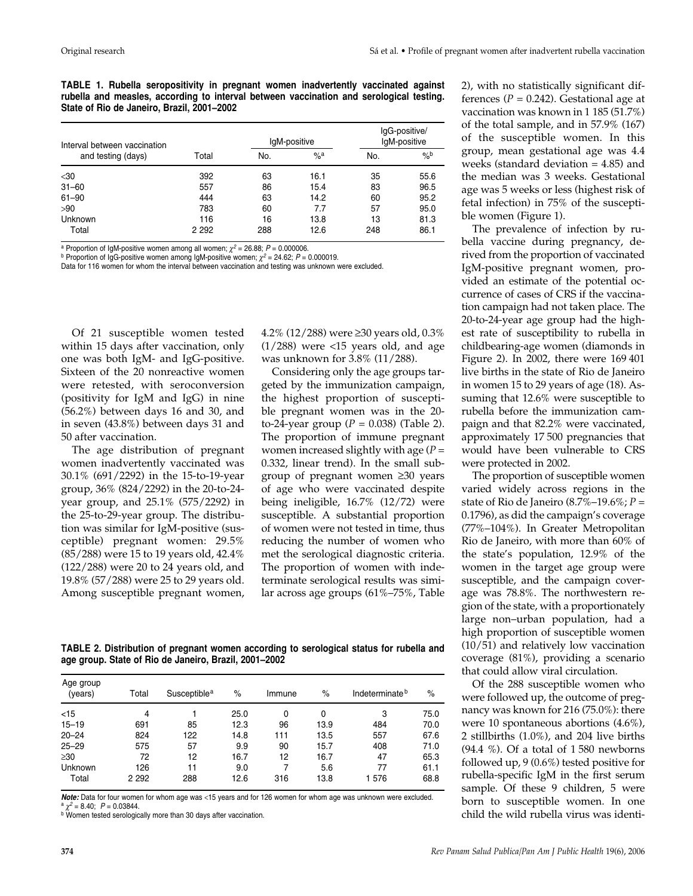**TABLE 1. Rubella seropositivity in pregnant women inadvertently vaccinated against rubella and measles, according to interval between vaccination and serological testing. State of Rio de Janeiro, Brazil, 2001–2002**

| Interval between vaccination |         |     | IgM-positive      | IgG-positive/<br>IgM-positive |               |
|------------------------------|---------|-----|-------------------|-------------------------------|---------------|
| and testing (days)           | Total   | No. | $\%$ <sup>a</sup> | No.                           | $\frac{9}{6}$ |
| $30$                         | 392     | 63  | 16.1              | 35                            | 55.6          |
| $31 - 60$                    | 557     | 86  | 15.4              | 83                            | 96.5          |
| $61 - 90$                    | 444     | 63  | 14.2              | 60                            | 95.2          |
| >90                          | 783     | 60  | 7.7               | 57                            | 95.0          |
| Unknown                      | 116     | 16  | 13.8              | 13                            | 81.3          |
| Total                        | 2 2 9 2 | 288 | 12.6              | 248                           | 86.1          |

<sup>a</sup> Proportion of IgM-positive women among all women;  $\chi^2 = 26.88$ ;  $P = 0.000006$ .<br><sup>b</sup> Proportion of IgG-positive women among IgM-positive women;  $\chi^2 = 24.62$ ;  $P = 0.000019$ .

Data for 116 women for whom the interval between vaccination and testing was unknown were excluded.

Of 21 susceptible women tested within 15 days after vaccination, only one was both IgM- and IgG-positive. Sixteen of the 20 nonreactive women were retested, with seroconversion (positivity for IgM and IgG) in nine (56.2%) between days 16 and 30, and in seven (43.8%) between days 31 and 50 after vaccination.

The age distribution of pregnant women inadvertently vaccinated was 30.1% (691/2292) in the 15-to-19-year group, 36% (824/2292) in the 20-to-24 year group, and 25.1% (575/2292) in the 25-to-29-year group. The distribution was similar for IgM-positive (susceptible) pregnant women: 29.5% (85/288) were 15 to 19 years old, 42.4% (122/288) were 20 to 24 years old, and 19.8% (57/288) were 25 to 29 years old. Among susceptible pregnant women,

4.2% (12/288) were ≥30 years old, 0.3%  $(1/288)$  were  $<15$  years old, and age was unknown for 3.8% (11/288).

Considering only the age groups targeted by the immunization campaign, the highest proportion of susceptible pregnant women was in the 20 to-24-year group  $(P = 0.038)$  (Table 2). The proportion of immune pregnant women increased slightly with age (*P* = 0.332, linear trend). In the small subgroup of pregnant women ≥30 years of age who were vaccinated despite being ineligible, 16.7% (12/72) were susceptible. A substantial proportion of women were not tested in time, thus reducing the number of women who met the serological diagnostic criteria. The proportion of women with indeterminate serological results was similar across age groups (61%–75%, Table

**TABLE 2. Distribution of pregnant women according to serological status for rubella and age group. State of Rio de Janeiro, Brazil, 2001–2002**

| Age group<br>(years) | Total   | Susceptible <sup>a</sup> | $\%$ | Immune | $\%$ | Indeterminate <sup>b</sup> | $\%$ |
|----------------------|---------|--------------------------|------|--------|------|----------------------------|------|
| $<$ 15               | 4       |                          | 25.0 | 0      | 0    | 3                          | 75.0 |
| $15 - 19$            | 691     | 85                       | 12.3 | 96     | 13.9 | 484                        | 70.0 |
| $20 - 24$            | 824     | 122                      | 14.8 | 111    | 13.5 | 557                        | 67.6 |
| $25 - 29$            | 575     | 57                       | 9.9  | 90     | 15.7 | 408                        | 71.0 |
| $\geq 30$            | 72      | 12                       | 16.7 | 12     | 16.7 | 47                         | 65.3 |
| Unknown              | 126     | 11                       | 9.0  |        | 5.6  | 77                         | 61.1 |
| Total                | 2 2 9 2 | 288                      | 12.6 | 316    | 13.8 | 1576                       | 68.8 |

**Note:** Data for four women for whom age was <15 years and for 126 women for whom age was unknown were excluded.  $\gamma^2 = 8.40$ ;  $P = 0.03844$ .

b Women tested serologically more than 30 days after vaccination

2), with no statistically significant differences  $(P = 0.242)$ . Gestational age at vaccination was known in 1 185 (51.7%) of the total sample, and in 57.9% (167) of the susceptible women. In this group, mean gestational age was 4.4 weeks (standard deviation = 4.85) and the median was 3 weeks. Gestational age was 5 weeks or less (highest risk of fetal infection) in 75% of the susceptible women (Figure 1).

The prevalence of infection by rubella vaccine during pregnancy, derived from the proportion of vaccinated IgM-positive pregnant women, provided an estimate of the potential occurrence of cases of CRS if the vaccination campaign had not taken place. The 20-to-24-year age group had the highest rate of susceptibility to rubella in childbearing-age women (diamonds in Figure 2). In 2002, there were 169 401 live births in the state of Rio de Janeiro in women 15 to 29 years of age (18). Assuming that 12.6% were susceptible to rubella before the immunization campaign and that 82.2% were vaccinated, approximately 17 500 pregnancies that would have been vulnerable to CRS were protected in 2002.

The proportion of susceptible women varied widely across regions in the state of Rio de Janeiro (8.7%–19.6%; *P* = 0.1796), as did the campaign's coverage (77%–104%). In Greater Metropolitan Rio de Janeiro, with more than 60% of the state's population, 12.9% of the women in the target age group were susceptible, and the campaign coverage was 78.8%. The northwestern region of the state, with a proportionately large non–urban population, had a high proportion of susceptible women (10/51) and relatively low vaccination coverage (81%), providing a scenario that could allow viral circulation.

Of the 288 susceptible women who were followed up, the outcome of pregnancy was known for 216 (75.0%): there were 10 spontaneous abortions (4.6%), 2 stillbirths (1.0%), and 204 live births (94.4 %). Of a total of 1 580 newborns followed up, 9 (0.6%) tested positive for rubella-specific IgM in the first serum sample. Of these 9 children, 5 were born to susceptible women. In one child the wild rubella virus was identi-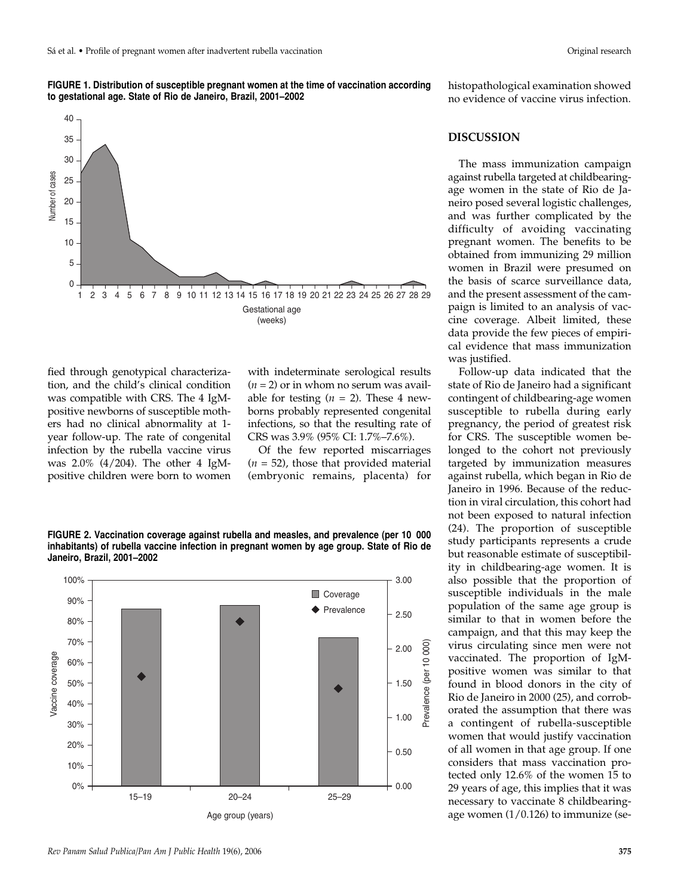



fied through genotypical characterization, and the child's clinical condition was compatible with CRS. The 4 IgMpositive newborns of susceptible mothers had no clinical abnormality at 1 year follow-up. The rate of congenital infection by the rubella vaccine virus was 2.0% (4/204). The other 4 IgMpositive children were born to women

with indeterminate serological results  $(n = 2)$  or in whom no serum was available for testing  $(n = 2)$ . These 4 newborns probably represented congenital infections, so that the resulting rate of CRS was 3.9% (95% CI: 1.7%–7.6%).

Of the few reported miscarriages  $(n = 52)$ , those that provided material (embryonic remains, placenta) for

**FIGURE 2. Vaccination coverage against rubella and measles, and prevalence (per 10 000 inhabitants) of rubella vaccine infection in pregnant women by age group. State of Rio de Janeiro, Brazil, 2001–2002**



histopathological examination showed no evidence of vaccine virus infection.

### **DISCUSSION**

The mass immunization campaign against rubella targeted at childbearingage women in the state of Rio de Janeiro posed several logistic challenges, and was further complicated by the difficulty of avoiding vaccinating pregnant women. The benefits to be obtained from immunizing 29 million women in Brazil were presumed on the basis of scarce surveillance data, and the present assessment of the campaign is limited to an analysis of vaccine coverage. Albeit limited, these data provide the few pieces of empirical evidence that mass immunization was justified.

Follow-up data indicated that the state of Rio de Janeiro had a significant contingent of childbearing-age women susceptible to rubella during early pregnancy, the period of greatest risk for CRS. The susceptible women belonged to the cohort not previously targeted by immunization measures against rubella, which began in Rio de Janeiro in 1996. Because of the reduction in viral circulation, this cohort had not been exposed to natural infection (24). The proportion of susceptible study participants represents a crude but reasonable estimate of susceptibility in childbearing-age women. It is also possible that the proportion of susceptible individuals in the male population of the same age group is similar to that in women before the campaign, and that this may keep the virus circulating since men were not vaccinated. The proportion of IgMpositive women was similar to that found in blood donors in the city of Rio de Janeiro in 2000 (25), and corroborated the assumption that there was a contingent of rubella-susceptible women that would justify vaccination of all women in that age group. If one considers that mass vaccination protected only 12.6% of the women 15 to 29 years of age, this implies that it was necessary to vaccinate 8 childbearingage women (1/0.126) to immunize (se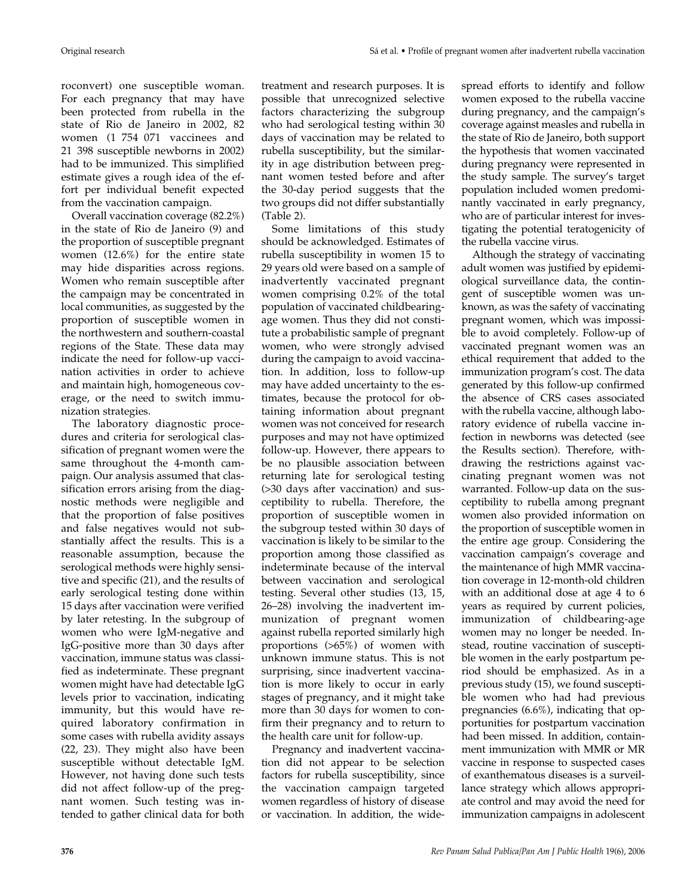roconvert) one susceptible woman. For each pregnancy that may have been protected from rubella in the state of Rio de Janeiro in 2002, 82 women (1 754 071 vaccinees and 21 398 susceptible newborns in 2002) had to be immunized. This simplified estimate gives a rough idea of the effort per individual benefit expected from the vaccination campaign.

Overall vaccination coverage (82.2%) in the state of Rio de Janeiro (9) and the proportion of susceptible pregnant women (12.6%) for the entire state may hide disparities across regions. Women who remain susceptible after the campaign may be concentrated in local communities, as suggested by the proportion of susceptible women in the northwestern and southern-coastal regions of the State. These data may indicate the need for follow-up vaccination activities in order to achieve and maintain high, homogeneous coverage, or the need to switch immunization strategies.

The laboratory diagnostic procedures and criteria for serological classification of pregnant women were the same throughout the 4-month campaign. Our analysis assumed that classification errors arising from the diagnostic methods were negligible and that the proportion of false positives and false negatives would not substantially affect the results. This is a reasonable assumption, because the serological methods were highly sensitive and specific (21), and the results of early serological testing done within 15 days after vaccination were verified by later retesting. In the subgroup of women who were IgM-negative and IgG-positive more than 30 days after vaccination, immune status was classified as indeterminate. These pregnant women might have had detectable IgG levels prior to vaccination, indicating immunity, but this would have required laboratory confirmation in some cases with rubella avidity assays (22, 23). They might also have been susceptible without detectable IgM. However, not having done such tests did not affect follow-up of the pregnant women. Such testing was intended to gather clinical data for both

treatment and research purposes. It is possible that unrecognized selective factors characterizing the subgroup who had serological testing within 30 days of vaccination may be related to rubella susceptibility, but the similarity in age distribution between pregnant women tested before and after the 30-day period suggests that the two groups did not differ substantially (Table 2).

Some limitations of this study should be acknowledged. Estimates of rubella susceptibility in women 15 to 29 years old were based on a sample of inadvertently vaccinated pregnant women comprising 0.2% of the total population of vaccinated childbearingage women. Thus they did not constitute a probabilistic sample of pregnant women, who were strongly advised during the campaign to avoid vaccination. In addition, loss to follow-up may have added uncertainty to the estimates, because the protocol for obtaining information about pregnant women was not conceived for research purposes and may not have optimized follow-up. However, there appears to be no plausible association between returning late for serological testing (>30 days after vaccination) and susceptibility to rubella. Therefore, the proportion of susceptible women in the subgroup tested within 30 days of vaccination is likely to be similar to the proportion among those classified as indeterminate because of the interval between vaccination and serological testing. Several other studies (13, 15, 26–28) involving the inadvertent immunization of pregnant women against rubella reported similarly high proportions (>65%) of women with unknown immune status. This is not surprising, since inadvertent vaccination is more likely to occur in early stages of pregnancy, and it might take more than 30 days for women to confirm their pregnancy and to return to the health care unit for follow-up.

Pregnancy and inadvertent vaccination did not appear to be selection factors for rubella susceptibility, since the vaccination campaign targeted women regardless of history of disease or vaccination. In addition, the widespread efforts to identify and follow women exposed to the rubella vaccine during pregnancy, and the campaign's coverage against measles and rubella in the state of Rio de Janeiro, both support the hypothesis that women vaccinated during pregnancy were represented in the study sample. The survey's target population included women predominantly vaccinated in early pregnancy, who are of particular interest for investigating the potential teratogenicity of the rubella vaccine virus.

Although the strategy of vaccinating adult women was justified by epidemiological surveillance data, the contingent of susceptible women was unknown, as was the safety of vaccinating pregnant women, which was impossible to avoid completely. Follow-up of vaccinated pregnant women was an ethical requirement that added to the immunization program's cost. The data generated by this follow-up confirmed the absence of CRS cases associated with the rubella vaccine, although laboratory evidence of rubella vaccine infection in newborns was detected (see the Results section). Therefore, withdrawing the restrictions against vaccinating pregnant women was not warranted. Follow-up data on the susceptibility to rubella among pregnant women also provided information on the proportion of susceptible women in the entire age group. Considering the vaccination campaign's coverage and the maintenance of high MMR vaccination coverage in 12-month-old children with an additional dose at age 4 to 6 years as required by current policies, immunization of childbearing-age women may no longer be needed. Instead, routine vaccination of susceptible women in the early postpartum period should be emphasized. As in a previous study (15), we found susceptible women who had had previous pregnancies (6.6%), indicating that opportunities for postpartum vaccination had been missed. In addition, containment immunization with MMR or MR vaccine in response to suspected cases of exanthematous diseases is a surveillance strategy which allows appropriate control and may avoid the need for immunization campaigns in adolescent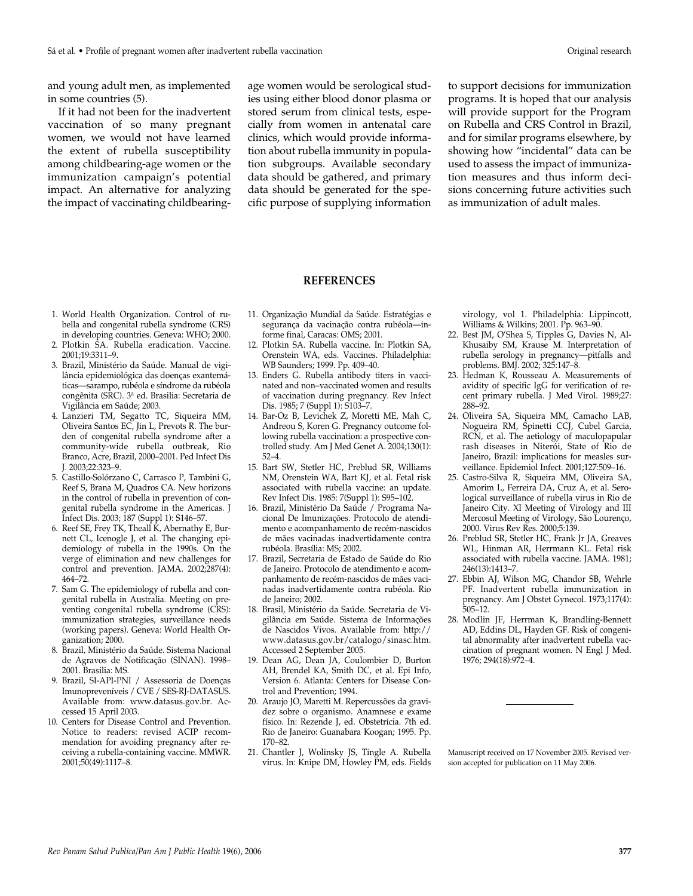and young adult men, as implemented in some countries (5).

If it had not been for the inadvertent vaccination of so many pregnant women, we would not have learned the extent of rubella susceptibility among childbearing-age women or the immunization campaign's potential impact. An alternative for analyzing the impact of vaccinating childbearing-

age women would be serological studies using either blood donor plasma or stored serum from clinical tests, especially from women in antenatal care clinics, which would provide information about rubella immunity in population subgroups. Available secondary data should be gathered, and primary data should be generated for the specific purpose of supplying information to support decisions for immunization programs. It is hoped that our analysis will provide support for the Program on Rubella and CRS Control in Brazil, and for similar programs elsewhere, by showing how "incidental" data can be used to assess the impact of immunization measures and thus inform decisions concerning future activities such as immunization of adult males.

## **REFERENCES**

- 1. World Health Organization. Control of rubella and congenital rubella syndrome (CRS) in developing countries. Geneva: WHO; 2000.
- 2. Plotkin SA. Rubella eradication. Vaccine. 2001;19:3311–9.
- 3. Brazil, Ministério da Saúde. Manual de vigilância epidemiológica das doenças exantemáticas—sarampo, rubéola e síndrome da rubéola congênita (SRC). 3a ed. Brasilia: Secretaria de Vigilância em Saúde; 2003.
- 4. Lanzieri TM, Segatto TC, Siqueira MM, Oliveira Santos EC, Jin L, Prevots R. The burden of congenital rubella syndrome after a community-wide rubella outbreak, Rio Branco, Acre, Brazil, 2000–2001. Ped Infect Dis J. 2003;22:323–9.
- 5. Castillo-Solórzano C, Carrasco P, Tambini G, Reef S, Brana M, Quadros CA. New horizons in the control of rubella in prevention of congenital rubella syndrome in the Americas. J Infect Dis. 2003; 187 (Suppl 1): S146–57.
- 6. Reef SE, Frey TK, Theall K, Abernathy E, Burnett CL, Icenogle J, et al. The changing epidemiology of rubella in the 1990s. On the verge of elimination and new challenges for control and prevention. JAMA. 2002;287(4): 464–72.
- 7. Sam G. The epidemiology of rubella and congenital rubella in Australia. Meeting on preventing congenital rubella syndrome (CRS): immunization strategies, surveillance needs (working papers). Geneva: World Health Organization; 2000.
- 8. Brazil, Ministério da Saúde. Sistema Nacional de Agravos de Notificação (SINAN). 1998– 2001. Brasilia: MS.
- 9. Brazil, SI-API-PNI / Assessoria de Doenças Imunopreveníveis / CVE / SES-RJ-DATASUS. Available from: www.datasus.gov.br. Accessed 15 April 2003.
- 10. Centers for Disease Control and Prevention. Notice to readers: revised ACIP recommendation for avoiding pregnancy after receiving a rubella-containing vaccine. MMWR. 2001;50(49):1117–8.
- 11. Organização Mundial da Saúde. Estratégias e segurança da vacinação contra rubéola*—*informe final, Caracas: OMS; 2001.
- 12. Plotkin SA. Rubella vaccine. In: Plotkin SA, Orenstein WA, eds. Vaccines. Philadelphia: WB Saunders; 1999. Pp. 409–40.
- 13. Enders G. Rubella antibody titers in vaccinated and non–vaccinated women and results of vaccination during pregnancy. Rev Infect Dis. 1985; 7 (Suppl 1): S103–7.
- 14. Bar-Oz B, Levichek Z, Moretti ME, Mah C, Andreou S, Koren G. Pregnancy outcome following rubella vaccination: a prospective controlled study. Am J Med Genet A. 2004;130(1): 52–4.
- 15. Bart SW, Stetler HC, Preblud SR, Williams NM, Orenstein WA, Bart KJ, et al. Fetal risk associated with rubella vaccine: an update. Rev Infect Dis. 1985: 7(Suppl 1): S95–102.
- 16. Brazil, Ministério Da Saúde / Programa Nacional De Imunizações. Protocolo de atendimento e acompanhamento de recém-nascidos de mães vacinadas inadvertidamente contra rubéola. Brasília: MS; 2002.
- 17. Brazil, Secretaria de Estado de Saúde do Rio de Janeiro. Protocolo de atendimento e acompanhamento de recém-nascidos de mães vacinadas inadvertidamente contra rubéola. Rio de Janeiro; 2002.
- 18. Brasil, Ministério da Saúde. Secretaria de Vigilância em Saúde. Sistema de Informações de Nascidos Vivos. Available from: http:// www.datasus.gov.br/catalogo/sinasc.htm. Accessed 2 September 2005.
- 19. Dean AG, Dean JA, Coulombier D, Burton AH, Brendel KA, Smith DC, et al. Epi Info, Version 6. Atlanta: Centers for Disease Control and Prevention; 1994.
- 20. Araujo JO, Maretti M. Repercussões da gravidez sobre o organismo. Anamnese e exame físico. In: Rezende J, ed. Obstetrícia. 7th ed. Rio de Janeiro: Guanabara Koogan; 1995. Pp. 170–82.
- 21. Chantler J, Wolinsky JS, Tingle A. Rubella virus. In: Knipe DM, Howley PM, eds. Fields

virology, vol 1. Philadelphia: Lippincott, Williams & Wilkins; 2001. Pp. 963–90.

- 22. Best JM, O'Shea S, Tipples G, Davies N, Al-Khusaiby SM, Krause M. Interpretation of rubella serology in pregnancy—pitfalls and problems. BMJ. 2002; 325:147–8*.*
- 23. Hedman K, Rousseau A. Measurements of avidity of specific IgG for verification of recent primary rubella. J Med Virol. 1989;27: 288–92.
- 24. Oliveira SA, Siqueira MM, Camacho LAB, Nogueira RM, Spinetti CCJ, Cubel Garcia, RCN, et al. The aetiology of maculopapular rash diseases in Niterói, State of Rio de Janeiro, Brazil: implications for measles surveillance. Epidemiol Infect. 2001;127:509–16.
- 25. Castro-Silva R, Siqueira MM, Oliveira SA, Amorim L, Ferreira DA, Cruz A, et al. Serological surveillance of rubella virus in Rio de Janeiro City. XI Meeting of Virology and III Mercosul Meeting of Virology, São Lourenço, 2000. Virus Rev Res. 2000;5:139.
- 26. Preblud SR, Stetler HC, Frank Jr JA, Greaves WL, Hinman AR, Herrmann KL. Fetal risk associated with rubella vaccine. JAMA. 1981; 246(13):1413–7.
- 27. Ebbin AJ, Wilson MG, Chandor SB, Wehrle PF. Inadvertent rubella immunization in pregnancy. Am J Obstet Gynecol. 1973;117(4): 505–12.
- 28. Modlin JF, Herrman K, Brandling-Bennett AD, Eddins DL, Hayden GF. Risk of congenital abnormality after inadvertent rubella vaccination of pregnant women. N Engl J Med. 1976; 294(18):972–4.

Manuscript received on 17 November 2005. Revised version accepted for publication on 11 May 2006.